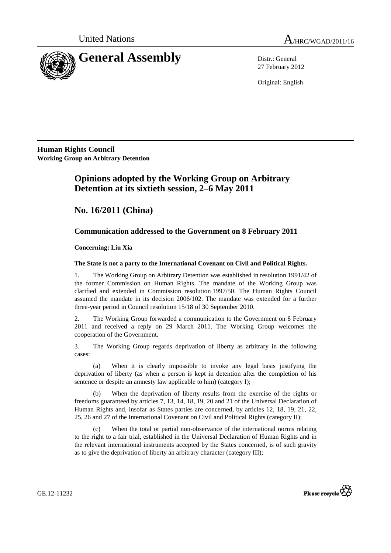



27 February 2012

Original: English

**Human Rights Council Working Group on Arbitrary Detention**

# **Opinions adopted by the Working Group on Arbitrary Detention at its sixtieth session, 2–6 May 2011**

 **No. 16/2011 (China)** 

## **Communication addressed to the Government on 8 February 2011**

 **Concerning: Liu Xia** 

## **The State is not a party to the International Covenant on Civil and Political Rights.**

1. The Working Group on Arbitrary Detention was established in resolution 1991/42 of the former Commission on Human Rights. The mandate of the Working Group was clarified and extended in Commission resolution 1997/50. The Human Rights Council assumed the mandate in its decision 2006/102. The mandate was extended for a further three-year period in Council resolution 15/18 of 30 September 2010.

2. The Working Group forwarded a communication to the Government on 8 February 2011 and received a reply on 29 March 2011. The Working Group welcomes the cooperation of the Government.

3. The Working Group regards deprivation of liberty as arbitrary in the following cases:

(a) When it is clearly impossible to invoke any legal basis justifying the deprivation of liberty (as when a person is kept in detention after the completion of his sentence or despite an amnesty law applicable to him) (category I);

(b) When the deprivation of liberty results from the exercise of the rights or freedoms guaranteed by articles 7, 13, 14, 18, 19, 20 and 21 of the Universal Declaration of Human Rights and, insofar as States parties are concerned, by articles 12, 18, 19, 21, 22, 25, 26 and 27 of the International Covenant on Civil and Political Rights (category II);

(c) When the total or partial non-observance of the international norms relating to the right to a fair trial, established in the Universal Declaration of Human Rights and in the relevant international instruments accepted by the States concerned, is of such gravity as to give the deprivation of liberty an arbitrary character (category III);



GE.12-11232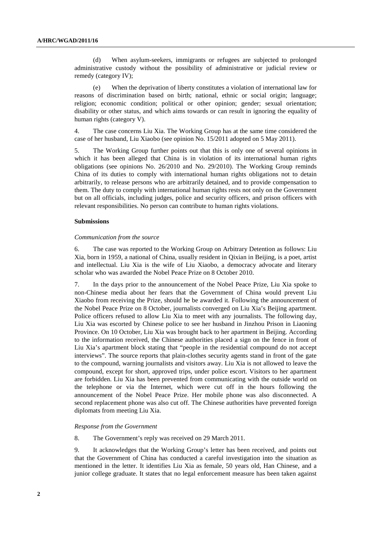(d) When asylum-seekers, immigrants or refugees are subjected to prolonged administrative custody without the possibility of administrative or judicial review or remedy (category IV);

(e) When the deprivation of liberty constitutes a violation of international law for reasons of discrimination based on birth; national, ethnic or social origin; language; religion; economic condition; political or other opinion; gender; sexual orientation; disability or other status, and which aims towards or can result in ignoring the equality of human rights (category V).

4. The case concerns Liu Xia. The Working Group has at the same time considered the case of her husband, Liu Xiaobo (see opinion No. 15/2011 adopted on 5 May 2011).

5. The Working Group further points out that this is only one of several opinions in which it has been alleged that China is in violation of its international human rights obligations (see opinions No. 26/2010 and No. 29/2010). The Working Group reminds China of its duties to comply with international human rights obligations not to detain arbitrarily, to release persons who are arbitrarily detained, and to provide compensation to them. The duty to comply with international human rights rests not only on the Government but on all officials, including judges, police and security officers, and prison officers with relevant responsibilities. No person can contribute to human rights violations.

### **Submissions**

#### *Communication from the source*

6. The case was reported to the Working Group on Arbitrary Detention as follows: Liu Xia, born in 1959, a national of China, usually resident in Qixian in Beijing, is a poet, artist and intellectual. Liu Xia is the wife of Liu Xiaobo, a democracy advocate and literary scholar who was awarded the Nobel Peace Prize on 8 October 2010.

7. In the days prior to the announcement of the Nobel Peace Prize, Liu Xia spoke to non-Chinese media about her fears that the Government of China would prevent Liu Xiaobo from receiving the Prize, should he be awarded it. Following the announcement of the Nobel Peace Prize on 8 October, journalists converged on Liu Xia's Beijing apartment. Police officers refused to allow Liu Xia to meet with any journalists. The following day, Liu Xia was escorted by Chinese police to see her husband in Jinzhou Prison in Liaoning Province. On 10 October, Liu Xia was brought back to her apartment in Beijing. According to the information received, the Chinese authorities placed a sign on the fence in front of Liu Xia's apartment block stating that "people in the residential compound do not accept interviews". The source reports that plain-clothes security agents stand in front of the gate to the compound, warning journalists and visitors away. Liu Xia is not allowed to leave the compound, except for short, approved trips, under police escort. Visitors to her apartment are forbidden. Liu Xia has been prevented from communicating with the outside world on the telephone or via the Internet, which were cut off in the hours following the announcement of the Nobel Peace Prize. Her mobile phone was also disconnected. A second replacement phone was also cut off. The Chinese authorities have prevented foreign diplomats from meeting Liu Xia.

#### *Response from the Government*

8. The Government's reply was received on 29 March 2011.

9. It acknowledges that the Working Group's letter has been received, and points out that the Government of China has conducted a careful investigation into the situation as mentioned in the letter. It identifies Liu Xia as female, 50 years old, Han Chinese, and a junior college graduate. It states that no legal enforcement measure has been taken against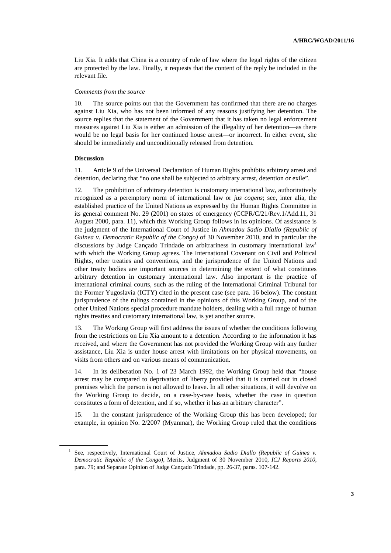Liu Xia. It adds that China is a country of rule of law where the legal rights of the citizen are protected by the law. Finally, it requests that the content of the reply be included in the relevant file.

#### *Comments from the source*

10. The source points out that the Government has confirmed that there are no charges against Liu Xia, who has not been informed of any reasons justifying her detention. The source replies that the statement of the Government that it has taken no legal enforcement measures against Liu Xia is either an admission of the illegality of her detention—as there would be no legal basis for her continued house arrest—or incorrect. In either event, she should be immediately and unconditionally released from detention.

#### **Discussion**

 $\overline{a}$ 

11. Article 9 of the Universal Declaration of Human Rights prohibits arbitrary arrest and detention, declaring that "no one shall be subjected to arbitrary arrest, detention or exile".

12. The prohibition of arbitrary detention is customary international law, authoritatively recognized as a peremptory norm of international law or *jus cogens*; see, inter alia, the established practice of the United Nations as expressed by the Human Rights Committee in its general comment No. 29 (2001) on states of emergency (CCPR/C/21/Rev.1/Add.11, 31 August 2000, para. 11), which this Working Group follows in its opinions. Of assistance is the judgment of the International Court of Justice in *Ahmadou Sadio Diallo (Republic of Guinea v. Democratic Republic of the Congo)* of 30 November 2010, and in particular the discussions by Judge Cancado Trindade on arbitrariness in customary international law<sup>1</sup> with which the Working Group agrees. The International Covenant on Civil and Political Rights, other treaties and conventions, and the jurisprudence of the United Nations and other treaty bodies are important sources in determining the extent of what constitutes arbitrary detention in customary international law. Also important is the practice of international criminal courts, such as the ruling of the International Criminal Tribunal for the Former Yugoslavia (ICTY) cited in the present case (see para. 16 below). The constant jurisprudence of the rulings contained in the opinions of this Working Group, and of the other United Nations special procedure mandate holders, dealing with a full range of human rights treaties and customary international law, is yet another source.

13. The Working Group will first address the issues of whether the conditions following from the restrictions on Liu Xia amount to a detention. According to the information it has received, and where the Government has not provided the Working Group with any further assistance, Liu Xia is under house arrest with limitations on her physical movements, on visits from others and on various means of communication.

14. In its deliberation No. 1 of 23 March 1992, the Working Group held that "house arrest may be compared to deprivation of liberty provided that it is carried out in closed premises which the person is not allowed to leave. In all other situations, it will devolve on the Working Group to decide, on a case-by-case basis, whether the case in question constitutes a form of detention, and if so, whether it has an arbitrary character".

15. In the constant jurisprudence of the Working Group this has been developed; for example, in opinion No. 2/2007 (Myanmar), the Working Group ruled that the conditions

<sup>&</sup>lt;sup>1</sup> See, respectively, International Court of Justice, *Ahmadou Sadio Diallo (Republic of Guinea v. Democratic Republic of the Congo)*, Merits, Judgment of 30 November 2010, *ICJ Reports 2010*, para. 79; and Separate Opinion of Judge Cançado Trindade, pp. 26-37, paras. 107-142.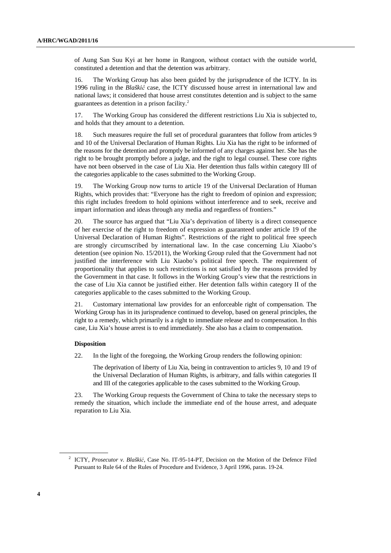of Aung San Suu Kyi at her home in Rangoon, without contact with the outside world, constituted a detention and that the detention was arbitrary.

16. The Working Group has also been guided by the jurisprudence of the ICTY. In its 1996 ruling in the *Blaški*ć case, the ICTY discussed house arrest in international law and national laws; it considered that house arrest constitutes detention and is subject to the same guarantees as detention in a prison facility.<sup>2</sup>

17. The Working Group has considered the different restrictions Liu Xia is subjected to, and holds that they amount to a detention.

18. Such measures require the full set of procedural guarantees that follow from articles 9 and 10 of the Universal Declaration of Human Rights. Liu Xia has the right to be informed of the reasons for the detention and promptly be informed of any charges against her. She has the right to be brought promptly before a judge, and the right to legal counsel. These core rights have not been observed in the case of Liu Xia. Her detention thus falls within category III of the categories applicable to the cases submitted to the Working Group.

19. The Working Group now turns to article 19 of the Universal Declaration of Human Rights, which provides that: "Everyone has the right to freedom of opinion and expression; this right includes freedom to hold opinions without interference and to seek, receive and impart information and ideas through any media and regardless of frontiers."

20. The source has argued that "Liu Xia's deprivation of liberty is a direct consequence of her exercise of the right to freedom of expression as guaranteed under article 19 of the Universal Declaration of Human Rights". Restrictions of the right to political free speech are strongly circumscribed by international law. In the case concerning Liu Xiaobo's detention (see opinion No. 15/2011), the Working Group ruled that the Government had not justified the interference with Liu Xiaobo's political free speech. The requirement of proportionality that applies to such restrictions is not satisfied by the reasons provided by the Government in that case. It follows in the Working Group's view that the restrictions in the case of Liu Xia cannot be justified either. Her detention falls within category II of the categories applicable to the cases submitted to the Working Group.

21. Customary international law provides for an enforceable right of compensation. The Working Group has in its jurisprudence continued to develop, based on general principles, the right to a remedy, which primarily is a right to immediate release and to compensation. In this case, Liu Xia's house arrest is to end immediately. She also has a claim to compensation.

## **Disposition**

22. In the light of the foregoing, the Working Group renders the following opinion:

The deprivation of liberty of Liu Xia, being in contravention to articles 9, 10 and 19 of the Universal Declaration of Human Rights, is arbitrary, and falls within categories II and III of the categories applicable to the cases submitted to the Working Group.

23. The Working Group requests the Government of China to take the necessary steps to remedy the situation, which include the immediate end of the house arrest, and adequate reparation to Liu Xia.

 $\overline{a}$ 

<sup>&</sup>lt;sup>2</sup> ICTY, *Prosecutor v. Blaškić*, Case No. IT-95-14-PT, Decision on the Motion of the Defence Filed Pursuant to Rule 64 of the Rules of Procedure and Evidence, 3 April 1996, paras. 19-24.